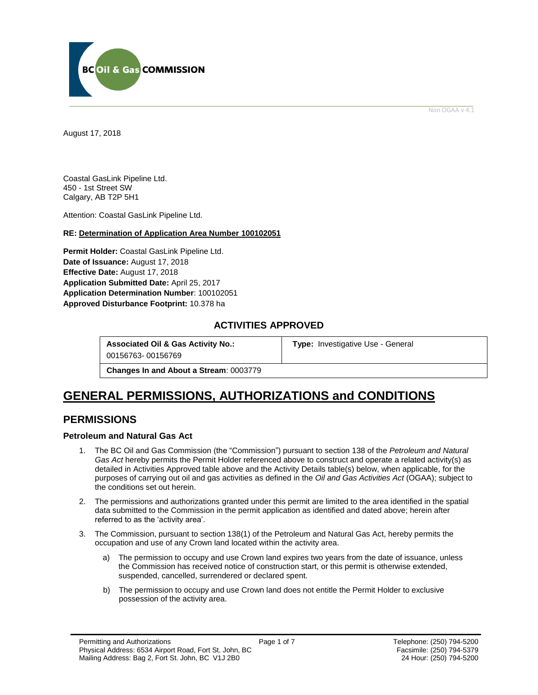

Non OGAA v 4.1

<span id="page-0-0"></span>August 17, 2018

Coastal GasLink Pipeline Ltd. 450 - 1st Street SW Calgary, AB T2P 5H1

Attention: Coastal GasLink Pipeline Ltd.

### **RE: Determination of Application Area Number 100102051**

**Permit Holder:** Coastal GasLink Pipeline Ltd. Date of Issuance: August 17, 2018 **Effective Date:** August 17, 2018 **Application Submitted Date:** April 25, 2017 **Application Determination Number**: 100102051 **[Approved Disturbance Footprint:](#page-0-0)** 10.378 ha

### **ACTIVITIES APPROVED**

**Associated Oil & Gas Activity No.:**

**[Type:](https://bi.bcogc.ca/Application%20Processing/Interactive%20Reports/(BIL-041)%20AMS%20Decision%20Summary.aspx)** Investigative Use - General

00156763- 00156769

**Changes In and About a Stream**: 0003779

# **GENERAL [PERMISSIONS,](#page-0-0) AUTHORIZATIONS and CONDITIONS**

### **PERMISSIONS**

### **Petroleum and Natural Gas Act**

- 1. The BC Oil and Gas Commission (the "Commission") pursuant to section 138 of the *Petroleum and Natural Gas Act* hereby permits the Permit Holder referenced above to construct and operate a related activity(s) as detailed in Activities Approved table above and the Activity Details table(s) below, when applicable, for the purposes of carrying out oil and gas activities as defined in the *Oil and Gas Activities Act* (OGAA); subject to the conditions set out herein.
- 2. The [permissions](#page-0-0) and authorizations granted under this permit are limited to the area identified in the spatial data submitted to the Commission in the permit application as identified and dated above; herein after referred to as the 'activity area'.
- 3. The Commission, pursuant to section 138(1) of the Petroleum and Natural Gas Act, hereby permits the occupation and use of any Crown land located within the activity area.
	- a) The permission to occupy and use Crown land expires two years from the date of issuance, unless the Commission has received notice of construction start, or this permit is otherwise extended, suspended, cancelled, surrendered or declared spent.
	- b) The permission to occupy and use Crown land does not entitle the Permit Holder to exclusive possession of the activity area.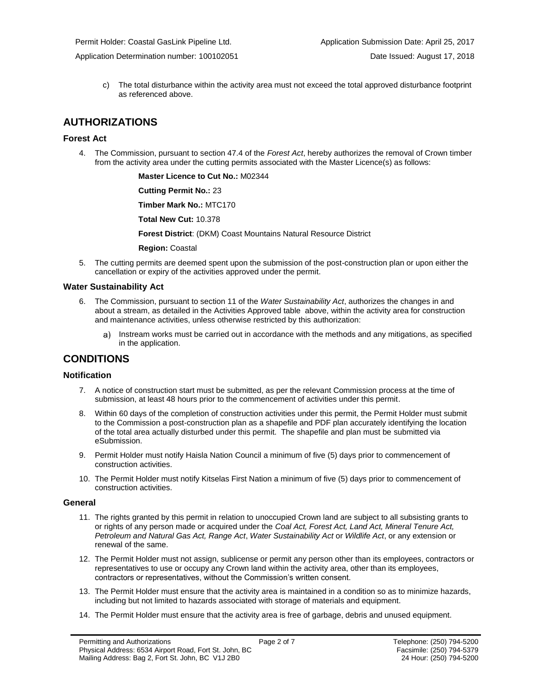c) The total disturbance within the activity area must not exceed the total approved disturbance footprint as referenced above.

## **AUTHORIZATIONS**

### **Forest Act**

4. The Commission, pursuant to section 47.4 of the *Forest Act*, hereby authorizes the removal of Crown timber from the activity area under the cutting permits associated with the Master Licence(s) as follows:

**Master Licence to Cut No.:** M02344

**Cutting Permit No.:** 23

**Timber Mark No.:** MTC170

**Total New Cut:** 10.378

**[Forest District](https://ams-crd.bcogc.ca/crd/)**: (DKM) Coast Mountains Natural Resource District

**Region:** Coastal

5. The cutting permits are deemed spent upon the submission of the post-construction plan or upon either the cancellation or expiry of the activities approved under the permit.

#### **Water Sustainability Act**

- 6. The Commission, pursuant to section 11 of the *Water Sustainability Act*, authorizes the changes in and about a stream, as detailed in the Activities Approved table above, within the activity area for construction and maintenance activities, unless otherwise restricted by this authorization:
	- Instream works must be carried out in accordance with the methods and any mitigations, as specified a) in the application.

### **CONDITIONS**

### **Notification**

- 7. A notice of construction start must be submitted, as per the relevant Commission process at the time of submission, at least 48 hours prior to the commencement of activities under this permit.
- 8. Within 60 days of the completion of construction activities under this permit, the Permit Holder must submit to the Commission a post-construction plan as a shapefile and PDF plan accurately identifying the location of the total area actually disturbed under this permit. The shapefile and plan must be submitted via eSubmission.
- 9. Permit Holder must notify Haisla Nation Council a minimum of five (5) days prior to commencement of construction activities.
- 10. The Permit Holder must notify Kitselas First Nation a minimum of five (5) days prior to commencement of construction activities.

#### **General**

- 11. The rights granted by this permit in relation to unoccupied Crown land are subject to all subsisting grants to or rights of any person made or acquired under the *Coal Act, Forest Act, Land Act, Mineral Tenure Act, Petroleum and Natural Gas Act, Range Act*, *Water Sustainability Act* or *Wildlife Act*, or any extension or renewal of the same.
- 12. The Permit Holder must not assign, sublicense or permit any person other than its employees, contractors or representatives to use or occupy any Crown land within the activity area, other than its employees, contractors or representatives, without the Commission's written consent.
- 13. The Permit Holder must ensure that the activity area is maintained in a condition so as to minimize hazards, including but not limited to hazards associated with storage of materials and equipment.
- 14. The Permit Holder must ensure that the activity area is free of garbage, debris and unused equipment.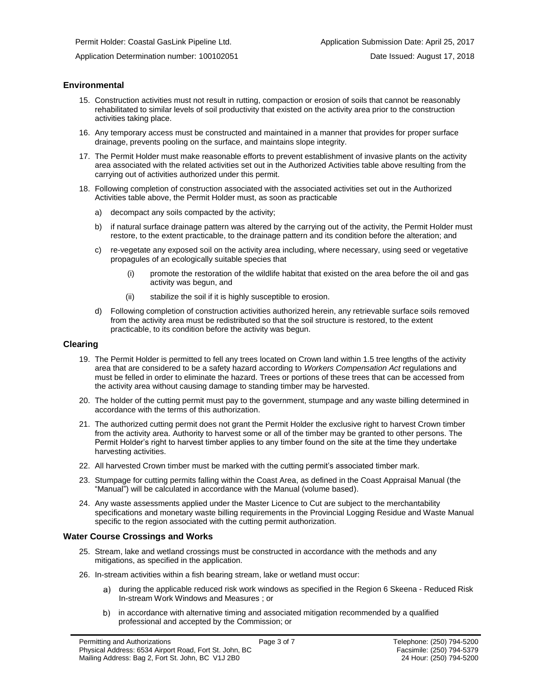### **Environmental**

- 15. Construction activities must not result in rutting, compaction or erosion of soils that cannot be reasonably rehabilitated to similar levels of soil productivity that existed on the activity area prior to the construction activities taking place.
- 16. Any temporary access must be constructed and maintained in a manner that provides for proper surface drainage, prevents pooling on the surface, and maintains slope integrity.
- 17. The Permit Holder must make reasonable efforts to prevent establishment of invasive plants on the activity area associated with the related activities set out in the Authorized Activities table above resulting from the carrying out of activities authorized under this permit.
- 18. Following completion of construction associated with the associated activities set out in the Authorized Activities table above, the Permit Holder must, as soon as practicable
	- a) decompact any soils compacted by the activity;
	- b) if natural surface drainage pattern was altered by the carrying out of the activity, the Permit Holder must restore, to the extent practicable, to the drainage pattern and its condition before the alteration; and
	- c) re-vegetate any exposed soil on the activity area including, where necessary, using seed or vegetative propagules of an ecologically suitable species that
		- promote the restoration of the wildlife habitat that existed on the area before the oil and gas activity was begun, and
		- (ii) stabilize the soil if it is highly susceptible to erosion.
	- d) Following completion of construction activities authorized herein, any retrievable surface soils removed from the activity area must be redistributed so that the soil structure is restored, to the extent practicable, to its condition before the activity was begun.

### **Clearing**

- 19. The Permit Holder is permitted to fell any trees located on Crown land within 1.5 tree lengths of the activity area that are considered to be a safety hazard according to *Workers Compensation Act* regulations and must be felled in order to eliminate the hazard. Trees or portions of these trees that can be accessed from the activity area without causing damage to standing timber may be harvested.
- 20. The holder of the cutting permit must pay to the government, stumpage and any waste billing determined in accordance with the terms of this authorization.
- 21. The authorized cutting permit does not grant the Permit Holder the exclusive right to harvest Crown timber from the activity area. Authority to harvest some or all of the timber may be granted to other persons. The Permit Holder's right to harvest timber applies to any timber found on the site at the time they undertake harvesting activities.
- 22. All harvested Crown timber must be marked with the cutting permit's associated timber mark.
- 23. Stumpage for cutting permits falling within the Coast Area, as defined in the Coast Appraisal Manual (the "Manual") will be calculated in accordance with the Manual (volume based).
- 24. Any waste assessments applied under the Master Licence to Cut are subject to the merchantability specifications and monetary waste billing requirements in the Provincial Logging Residue and Waste Manual specific to the region associated with the cutting permi[t authorization.](#page-0-0)

#### **Water Course Crossings and Works**

- 25. Stream, lake and wetland crossings must be constructed in accordance with the methods and any mitigations, as specified in the application.
- 26. In-stream activities within a fish bearing stream, lake or wetland must occur:
	- a) [during the applicable reduced risk work windows as specified in the](#page-0-0) Region 6 Skeena Reduced Risk In-stream Work Windows and Measures ; or
	- b) in accordance with alternative timing and associated mitigation recommended by a qualified professional and accepted b[y the](#page-0-0) Commission; or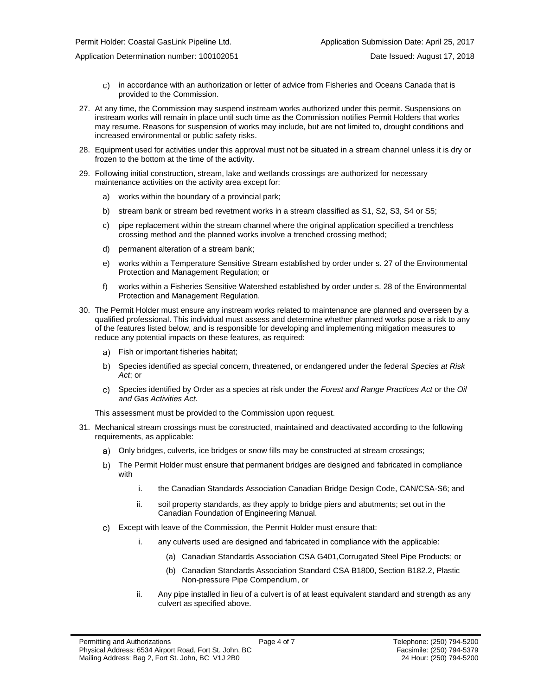Permit Holder: Coastal GasLink Pipeline Ltd. Application Submission Date: April 25, 2017

Application Determination number: 100102051 **Date Issued: August 17, 2018** Date Issued: August 17, 2018

- in accordance with an authorization or letter of advice from Fisheries and Oceans Canada that is provided to the Commission.
- 27. At any time, the Commission may suspend instream works authorized under this permit. Suspensions on instream works will remain in place until such time as the Commission notifies Permit Holders that works may resume. Reasons for suspension of works may include, but are not limited to, drought conditions and increased environmental or public safety risks.
- 28. Equipment used for activities under this approval must not be situated in a stream channel unless it is dry or frozen to the bottom at the time of the activity.
- 29. Following initial construction, stream, lake and wetlands crossings are authorized for necessary maintenance activities on the activity area except for:
	- a) works within the boundary of a provincial park;
	- b) stream bank or stream bed revetment works in a stream classified as S1, S2, S3, S4 or S5;
	- c) pipe replacement within the stream channel where the original application specified a trenchless crossing method and the planned works involve a trenched crossing method;
	- d) permanent alteration of a stream bank;
	- e) works within a Temperature Sensitive Stream established by order under s. 27 of the Environmental Protection and Management Regulation; or
	- f) works within a Fisheries Sensitive Watershed established by order under s. 28 of the Environmental Protection and Management Regulation.
- 30. The Permit Holder must ensure any instream works related to maintenance are planned and overseen by a qualified professional. This individual must assess and determine whether planned works pose a risk to any of the features listed below, and is responsible for developing and implementing mitigation measures to reduce any potential impacts on these features, as required:
	- a) Fish or important fisheries habitat;
	- Species identified as special concern, threatened, or endangered under the federal *Species at Risk Act*; or
	- Species identified by Order as a species at risk under the *Forest and Range Practices Act* or the *Oil and Gas Activities Act.*

This assessment must be provided to the Commission upon request.

- 31. Mechanical stream crossings must be constructed, maintained and deactivated according to the following requirements, as applicable:
	- Only bridges, culverts, ice bridges or snow fills may be constructed at stream crossings;
	- The Permit Holder must ensure that permanent bridges are designed and fabricated in compliance with
		- i. the Canadian Standards Association Canadian Bridge Design Code, CAN/CSA-S6; and
		- ii. soil property standards, as they apply to bridge piers and abutments; set out in the Canadian Foundation of Engineering Manual.
	- Except with leave of the Commission, the Permit Holder must ensure that:
		- i. any culverts used are designed and fabricated in compliance with the applicable:
			- (a) Canadian Standards Association CSA G401,Corrugated Steel Pipe Products; or
			- (b) Canadian Standards Association Standard CSA B1800, Section B182.2, Plastic Non-pressure Pipe Compendium, or
		- ii. Any pipe installed in lieu of a culvert is of at least equivalent standard and strength as any culvert as specified above.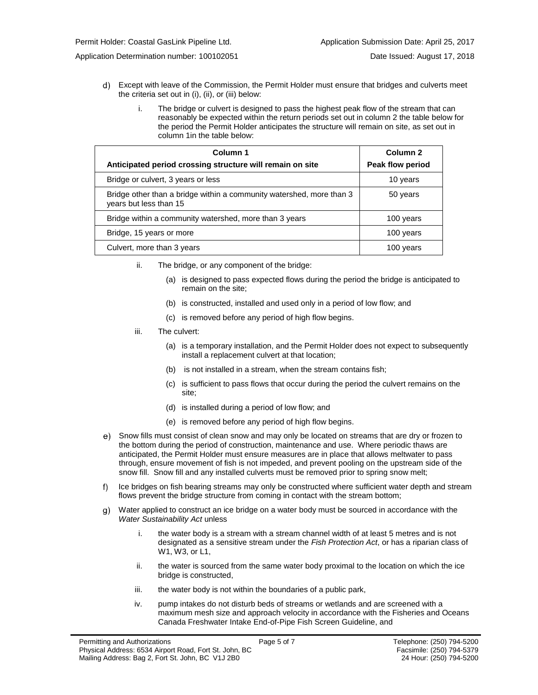Application Determination number: 100102051 Date Issued: August 17, 2018

- Except with leave of the Commission, the Permit Holder must ensure that bridges and culverts meet the criteria set out in (i), (ii), or (iii) below:
	- i. The bridge or culvert is designed to pass the highest peak flow of the stream that can reasonably be expected within the return periods set out in column 2 the table below for the period the Permit Holder anticipates the structure will remain on site, as set out in column 1in the table below:

| Column 1<br>Anticipated period crossing structure will remain on site                          | Column <sub>2</sub><br>Peak flow period |
|------------------------------------------------------------------------------------------------|-----------------------------------------|
| Bridge or culvert, 3 years or less                                                             | 10 years                                |
| Bridge other than a bridge within a community watershed, more than 3<br>years but less than 15 | 50 years                                |
| Bridge within a community watershed, more than 3 years                                         | 100 years                               |
| Bridge, 15 years or more                                                                       | 100 years                               |
| Culvert, more than 3 years                                                                     | 100 years                               |

- ii. The bridge, or any component of the bridge:
	- (a) is designed to pass expected flows during the period the bridge is anticipated to remain on the site;
	- (b) is constructed, installed and used only in a period of low flow; and
	- (c) is removed before any period of high flow begins.
- iii. The culvert:
	- (a) is a temporary installation, and the Permit Holder does not expect to subsequently install a replacement culvert at that location;
	- (b) is not installed in a stream, when the stream contains fish;
	- (c) is sufficient to pass flows that occur during the period the culvert remains on the site;
	- (d) is installed during a period of low flow; and
	- (e) is removed before any period of high flow begins.
- Snow fills must consist of clean snow and may only be located on streams that are dry or frozen to the bottom during the period of construction, maintenance and use. Where periodic thaws are anticipated, the Permit Holder must ensure measures are in place that allows meltwater to pass through, ensure movement of fish is not impeded, and prevent pooling on the upstream side of the snow fill. Snow fill and any installed culverts must be removed prior to spring snow melt;
- f) Ice bridges on fish bearing streams may only be constructed where sufficient water depth and stream flows prevent the bridge structure from coming in contact with the stream bottom;
- Water applied to construct an ice bridge on a water body must be sourced in accordance with the *Water Sustainability Act* unless
	- i. the water body is a stream with a stream channel width of at least 5 metres and is not designated as a sensitive stream under the *Fish Protection Act*, or has a riparian class of W1, W3, or L1,
	- ii. the water is sourced from the same water body proximal to the location on which the ice bridge is constructed,
	- iii. the water body is not within the boundaries of a public park,
	- iv. pump intakes do not disturb beds of streams or wetlands and are screened with a maximum mesh size and approach velocity in accordance with the Fisheries and Oceans Canada Freshwater Intake End-of-Pipe Fish Screen Guideline, and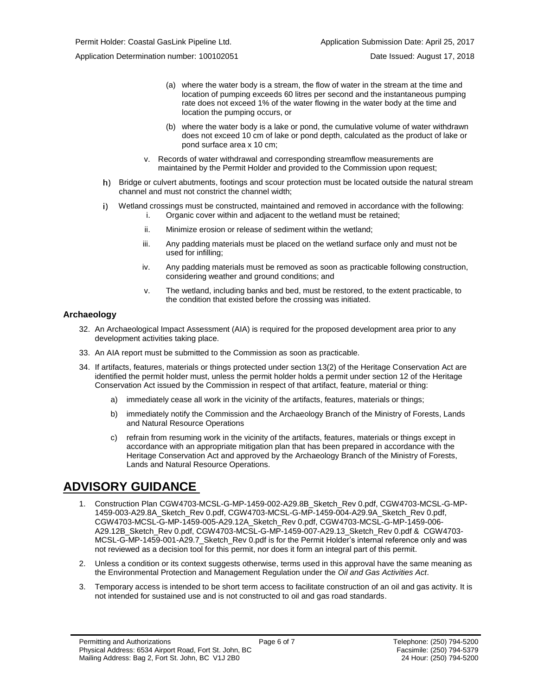Application Determination number: 100102051 Date Issued: August 17, 2018

- (a) where the water body is a stream, the flow of water in the stream at the time and location of pumping exceeds 60 litres per second and the instantaneous pumping rate does not exceed 1% of the water flowing in the water body at the time and location the pumping occurs, or
- (b) where the water body is a lake or pond, the cumulative volume of water withdrawn does not exceed 10 cm of lake or pond depth, calculated as the product of lake or pond surface area x 10 cm;
- v. Records of water withdrawal and corresponding streamflow measurements are maintained by the Permit Holder and provided to the Commission upon request;
- h) Bridge or culvert abutments, footings and scour protection must be located outside the natural stream channel and must not constrict the channel width;
- i) Wetland crossings must be constructed, maintained and removed in accordance with the following: i. Organic cover within and adjacent to the wetland must be retained;
	- ii. Minimize erosion or release of sediment within the wetland;
	- iii. Any padding materials must be placed on the wetland surface only and must not be used for infilling;
	- iv. Any padding materials must be removed as soon as practicable following construction, considering weather and ground conditions; and
	- v. The wetland, including banks and bed, must be restored, to the extent practicable, to the condition that existed before the crossing was initiated.

### **Archaeology**

- 32. An Archaeological Impact Assessment (AIA) is required for the proposed development area prior to any development activities taking place.
- 33. An AIA report must be submitted to the Commission as soon as practicable.
- 34. If artifacts, features, materials or things protected under section 13(2) of the Heritage Conservation Act are identified the permit holder must, unless the permit holder holds a permit under section 12 of the Heritage Conservation Act issued by the Commission in respect of that artifact, feature, material or thing:
	- a) immediately cease all work in the vicinity of the artifacts, features, materials or things;
	- b) immediately notify the Commission and the Archaeology Branch of the Ministry of Forests, Lands and Natural Resource Operations
	- c) refrain from resuming work in the vicinity of the artifacts, features, materials or things except in accordance with an appropriate mitigation plan that has been prepared in accordance with the Heritage Conservation Act and approved by the Archaeology Branch of the Ministry of Forests, Lands and Natural Resource Operations.

## **ADVISORY GUIDANCE**

- 1. Construction Plan CGW4703-MCSL-G-MP-1459-002-A29.8B\_Sketch\_Rev 0.pdf, CGW4703-MCSL-G-MP-1459-003-A29.8A\_Sketch\_Rev 0.pdf, CGW4703-MCSL-G-MP-1459-004-A29.9A\_Sketch\_Rev 0.pdf, CGW4703-MCSL-G-MP-1459-005-A29.12A\_Sketch\_Rev 0.pdf, CGW4703-MCSL-G-MP-1459-006- A29.12B\_Sketch\_Rev 0.pdf, CGW4703-MCSL-G-MP-1459-007-A29.13\_Sketch\_Rev 0.pdf & CGW4703- MCSL-G-MP-1459-001-A29.7\_Sketch\_Rev 0.pdf is for the Permit Holder's internal reference only and was not reviewed as a decision tool for this permit, nor does it form an integral part of this permit.
- 2. Unless a condition or its context suggests otherwise, terms used in this approval have the same meaning as the Environmental Protection and Management Regulation under the *Oil and Gas Activities Act*.
- 3. Temporary access is intended to be short term access to facilitate construction of an oil and gas activity. It is not intended for sustained use and is not constructed to oil and gas road standards.